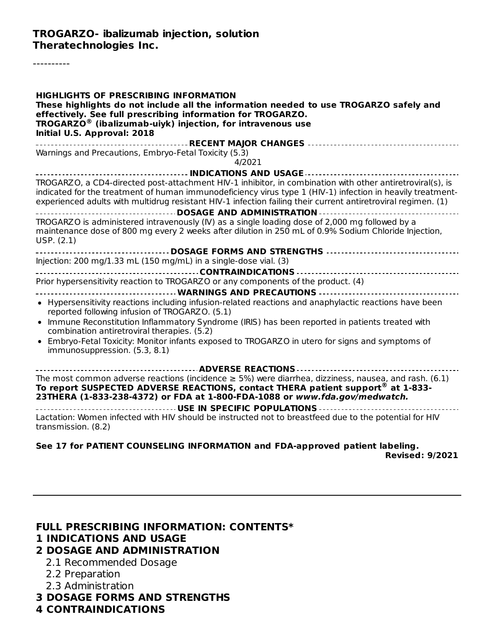----------

| <b>HIGHLIGHTS OF PRESCRIBING INFORMATION</b><br>These highlights do not include all the information needed to use TROGARZO safely and<br>effectively. See full prescribing information for TROGARZO.<br><b>TROGARZO<sup>®</sup></b> (ibalizumab-uiyk) injection, for intravenous use<br>Initial U.S. Approval: 2018                      |
|------------------------------------------------------------------------------------------------------------------------------------------------------------------------------------------------------------------------------------------------------------------------------------------------------------------------------------------|
|                                                                                                                                                                                                                                                                                                                                          |
| Warnings and Precautions, Embryo-Fetal Toxicity (5.3)<br>4/2021                                                                                                                                                                                                                                                                          |
|                                                                                                                                                                                                                                                                                                                                          |
| TROGARZO, a CD4-directed post-attachment HIV-1 inhibitor, in combination with other antiretroviral(s), is<br>indicated for the treatment of human immunodeficiency virus type 1 (HIV-1) infection in heavily treatment-<br>experienced adults with multidrug resistant HIV-1 infection failing their current antiretroviral regimen. (1) |
| ------------------------------------ DOSAGE AND ADMINISTRATION -----------------                                                                                                                                                                                                                                                         |
| TROGARZO is administered intravenously (IV) as a single loading dose of 2,000 mg followed by a<br>maintenance dose of 800 mg every 2 weeks after dilution in 250 mL of 0.9% Sodium Chloride Injection,<br>USP. (2.1)                                                                                                                     |
|                                                                                                                                                                                                                                                                                                                                          |
| Injection: 200 mg/1.33 mL (150 mg/mL) in a single-dose vial. (3)                                                                                                                                                                                                                                                                         |
|                                                                                                                                                                                                                                                                                                                                          |
| Prior hypersensitivity reaction to TROGARZO or any components of the product. (4)                                                                                                                                                                                                                                                        |
| ------------------------------------ WARNINGS AND PRECAUTIONS --------------------------------                                                                                                                                                                                                                                           |
| • Hypersensitivity reactions including infusion-related reactions and anaphylactic reactions have been<br>reported following infusion of TROGARZO. (5.1)                                                                                                                                                                                 |
| • Immune Reconstitution Inflammatory Syndrome (IRIS) has been reported in patients treated with<br>combination antiretroviral therapies. (5.2)                                                                                                                                                                                           |
| • Embryo-Fetal Toxicity: Monitor infants exposed to TROGARZO in utero for signs and symptoms of<br>immunosuppression. (5.3, 8.1)                                                                                                                                                                                                         |
|                                                                                                                                                                                                                                                                                                                                          |
| The most common adverse reactions (incidence $\geq$ 5%) were diarrhea, dizziness, nausea, and rash. (6.1)<br>To report SUSPECTED ADVERSE REACTIONS, contact THERA patient support® at 1-833-<br>23THERA (1-833-238-4372) or FDA at 1-800-FDA-1088 or www.fda.gov/medwatch.                                                               |
|                                                                                                                                                                                                                                                                                                                                          |
| Lactation: Women infected with HIV should be instructed not to breastfeed due to the potential for HIV<br>transmission. (8.2)                                                                                                                                                                                                            |

#### **See 17 for PATIENT COUNSELING INFORMATION and FDA-approved patient labeling. Revised: 9/2021**

#### **FULL PRESCRIBING INFORMATION: CONTENTS\***

#### **1 INDICATIONS AND USAGE**

### **2 DOSAGE AND ADMINISTRATION**

- 2.1 Recommended Dosage
- 2.2 Preparation
- 2.3 Administration
- **3 DOSAGE FORMS AND STRENGTHS**

### **4 CONTRAINDICATIONS**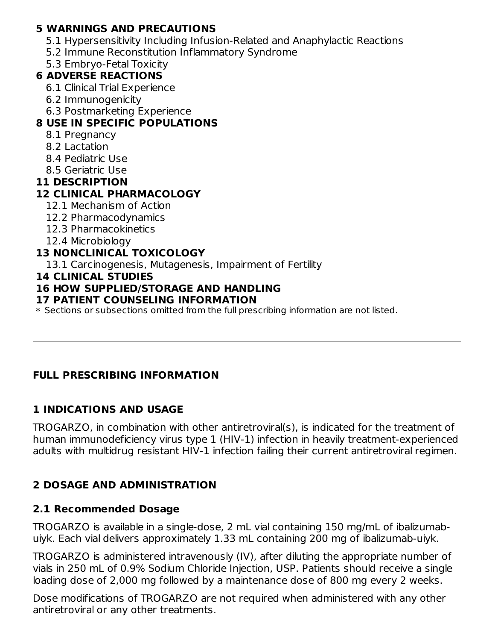### **5 WARNINGS AND PRECAUTIONS**

- 5.1 Hypersensitivity Including Infusion-Related and Anaphylactic Reactions
- 5.2 Immune Reconstitution Inflammatory Syndrome
- 5.3 Embryo-Fetal Toxicity

### **6 ADVERSE REACTIONS**

- 6.1 Clinical Trial Experience
- 6.2 Immunogenicity
- 6.3 Postmarketing Experience

## **8 USE IN SPECIFIC POPULATIONS**

- 8.1 Pregnancy
- 8.2 Lactation
- 8.4 Pediatric Use
- 8.5 Geriatric Use

### **11 DESCRIPTION**

## **12 CLINICAL PHARMACOLOGY**

- 12.1 Mechanism of Action
- 12.2 Pharmacodynamics
- 12.3 Pharmacokinetics
- 12.4 Microbiology

### **13 NONCLINICAL TOXICOLOGY**

13.1 Carcinogenesis, Mutagenesis, Impairment of Fertility

### **14 CLINICAL STUDIES**

### **16 HOW SUPPLIED/STORAGE AND HANDLING**

### **17 PATIENT COUNSELING INFORMATION**

 $\ast$  Sections or subsections omitted from the full prescribing information are not listed.

## **FULL PRESCRIBING INFORMATION**

### **1 INDICATIONS AND USAGE**

TROGARZO, in combination with other antiretroviral(s), is indicated for the treatment of human immunodeficiency virus type 1 (HIV-1) infection in heavily treatment-experienced adults with multidrug resistant HIV-1 infection failing their current antiretroviral regimen.

## **2 DOSAGE AND ADMINISTRATION**

### **2.1 Recommended Dosage**

TROGARZO is available in a single-dose, 2 mL vial containing 150 mg/mL of ibalizumabuiyk. Each vial delivers approximately 1.33 mL containing 200 mg of ibalizumab-uiyk.

TROGARZO is administered intravenously (IV), after diluting the appropriate number of vials in 250 mL of 0.9% Sodium Chloride Injection, USP. Patients should receive a single loading dose of 2,000 mg followed by a maintenance dose of 800 mg every 2 weeks.

Dose modifications of TROGARZO are not required when administered with any other antiretroviral or any other treatments.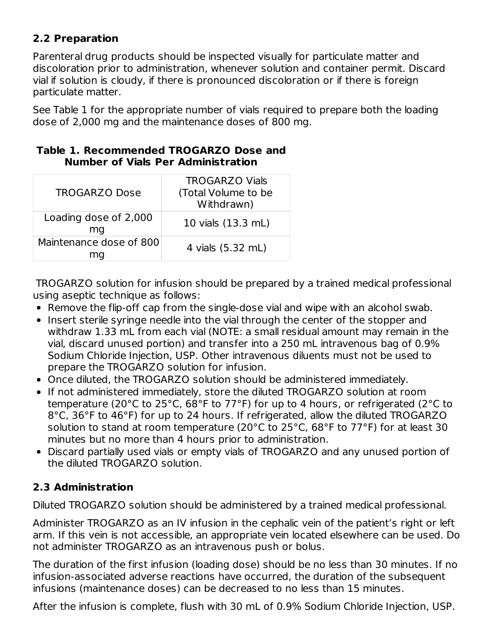## **2.2 Preparation**

Parenteral drug products should be inspected visually for particulate matter and discoloration prior to administration, whenever solution and container permit. Discard vial if solution is cloudy, if there is pronounced discoloration or if there is foreign particulate matter.

See Table 1 for the appropriate number of vials required to prepare both the loading dose of 2,000 mg and the maintenance doses of 800 mg.

| <b>TROGARZO Dose</b>        | <b>TROGARZO Vials</b><br>(Total Volume to be<br>Withdrawn) |
|-----------------------------|------------------------------------------------------------|
| Loading dose of 2,000<br>ma | 10 vials (13.3 mL)                                         |
| Maintenance dose of 800     | 4 vials (5.32 mL)                                          |

### **Table 1. Recommended TROGARZO Dose and Number of Vials Per Administration**

TROGARZO solution for infusion should be prepared by a trained medical professional using aseptic technique as follows:

- Remove the flip-off cap from the single-dose vial and wipe with an alcohol swab.
- Insert sterile syringe needle into the vial through the center of the stopper and withdraw 1.33 mL from each vial (NOTE: a small residual amount may remain in the vial, discard unused portion) and transfer into a 250 mL intravenous bag of 0.9% Sodium Chloride Injection, USP. Other intravenous diluents must not be used to prepare the TROGARZO solution for infusion.
- Once diluted, the TROGARZO solution should be administered immediately.
- If not administered immediately, store the diluted TROGARZO solution at room temperature (20°C to 25°C, 68°F to 77°F) for up to 4 hours, or refrigerated (2°C to 8°C, 36°F to 46°F) for up to 24 hours. If refrigerated, allow the diluted TROGARZO solution to stand at room temperature (20°C to 25°C, 68°F to 77°F) for at least 30 minutes but no more than 4 hours prior to administration.
- Discard partially used vials or empty vials of TROGARZO and any unused portion of the diluted TROGARZO solution.

## **2.3 Administration**

Diluted TROGARZO solution should be administered by a trained medical professional.

Administer TROGARZO as an IV infusion in the cephalic vein of the patient's right or left arm. If this vein is not accessible, an appropriate vein located elsewhere can be used. Do not administer TROGARZO as an intravenous push or bolus.

The duration of the first infusion (loading dose) should be no less than 30 minutes. If no infusion-associated adverse reactions have occurred, the duration of the subsequent infusions (maintenance doses) can be decreased to no less than 15 minutes.

After the infusion is complete, flush with 30 mL of 0.9% Sodium Chloride Injection, USP.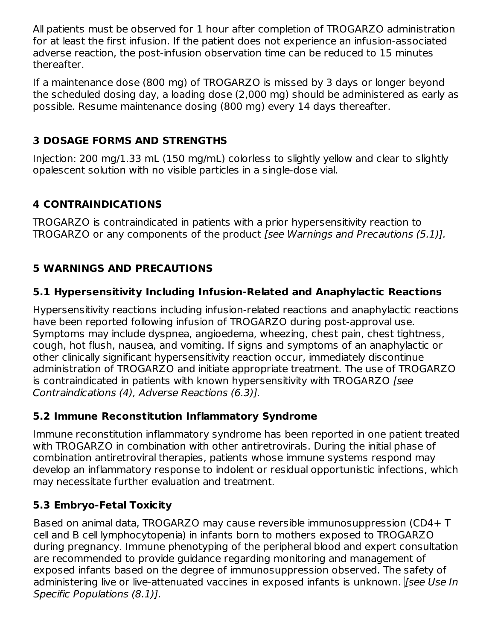All patients must be observed for 1 hour after completion of TROGARZO administration for at least the first infusion. If the patient does not experience an infusion-associated adverse reaction, the post-infusion observation time can be reduced to 15 minutes thereafter.

If a maintenance dose (800 mg) of TROGARZO is missed by 3 days or longer beyond the scheduled dosing day, a loading dose (2,000 mg) should be administered as early as possible. Resume maintenance dosing (800 mg) every 14 days thereafter.

## **3 DOSAGE FORMS AND STRENGTHS**

Injection: 200 mg/1.33 mL (150 mg/mL) colorless to slightly yellow and clear to slightly opalescent solution with no visible particles in a single-dose vial.

## **4 CONTRAINDICATIONS**

TROGARZO is contraindicated in patients with a prior hypersensitivity reaction to TROGARZO or any components of the product [see Warnings and Precautions (5.1)].

## **5 WARNINGS AND PRECAUTIONS**

## **5.1 Hypersensitivity Including Infusion-Related and Anaphylactic Reactions**

Hypersensitivity reactions including infusion-related reactions and anaphylactic reactions have been reported following infusion of TROGARZO during post-approval use. Symptoms may include dyspnea, angioedema, wheezing, chest pain, chest tightness, cough, hot flush, nausea, and vomiting. If signs and symptoms of an anaphylactic or other clinically significant hypersensitivity reaction occur, immediately discontinue administration of TROGARZO and initiate appropriate treatment. The use of TROGARZO is contraindicated in patients with known hypersensitivity with TROGARZO [see Contraindications (4), Adverse Reactions (6.3)].

## **5.2 Immune Reconstitution Inflammatory Syndrome**

Immune reconstitution inflammatory syndrome has been reported in one patient treated with TROGARZO in combination with other antiretrovirals. During the initial phase of combination antiretroviral therapies, patients whose immune systems respond may develop an inflammatory response to indolent or residual opportunistic infections, which may necessitate further evaluation and treatment.

## **5.3 Embryo-Fetal Toxicity**

Based on animal data, TROGARZO may cause reversible immunosuppression (CD4+ T cell and B cell lymphocytopenia) in infants born to mothers exposed to TROGARZO during pregnancy. Immune phenotyping of the peripheral blood and expert consultation are recommended to provide guidance regarding monitoring and management of exposed infants based on the degree of immunosuppression observed. The safety of administering live or live-attenuated vaccines in exposed infants is unknown. *[See Use In*] Specific Populations (8.1)].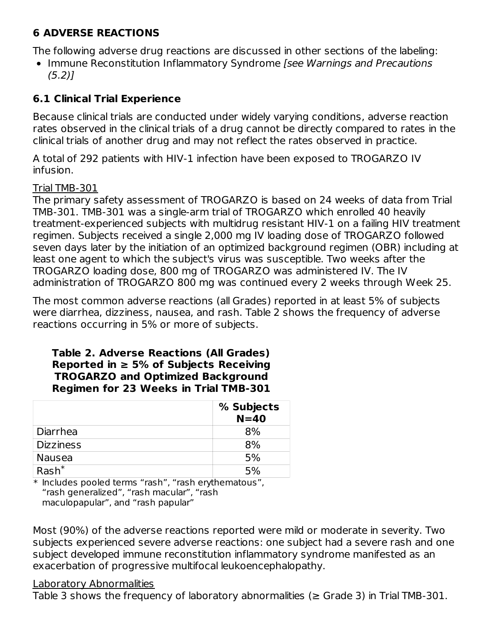### **6 ADVERSE REACTIONS**

The following adverse drug reactions are discussed in other sections of the labeling:

• Immune Reconstitution Inflammatory Syndrome *[see Warnings and Precautions*  $(5.2)$ ]

## **6.1 Clinical Trial Experience**

Because clinical trials are conducted under widely varying conditions, adverse reaction rates observed in the clinical trials of a drug cannot be directly compared to rates in the clinical trials of another drug and may not reflect the rates observed in practice.

A total of 292 patients with HIV-1 infection have been exposed to TROGARZO IV infusion.

### Trial TMB-301

The primary safety assessment of TROGARZO is based on 24 weeks of data from Trial TMB-301. TMB-301 was a single-arm trial of TROGARZO which enrolled 40 heavily treatment-experienced subjects with multidrug resistant HIV-1 on a failing HIV treatment regimen. Subjects received a single 2,000 mg IV loading dose of TROGARZO followed seven days later by the initiation of an optimized background regimen (OBR) including at least one agent to which the subject's virus was susceptible. Two weeks after the TROGARZO loading dose, 800 mg of TROGARZO was administered IV. The IV administration of TROGARZO 800 mg was continued every 2 weeks through Week 25.

The most common adverse reactions (all Grades) reported in at least 5% of subjects were diarrhea, dizziness, nausea, and rash. Table 2 shows the frequency of adverse reactions occurring in 5% or more of subjects.

### **Table 2. Adverse Reactions (All Grades) Reported in ≥ 5% of Subjects Receiving TROGARZO and Optimized Background Regimen for 23 Weeks in Trial TMB-301**

|                  | % Subjects<br>$N=40$ |
|------------------|----------------------|
| Diarrhea         | 8%                   |
| <b>Dizziness</b> | 8%                   |
| Nausea           | 5%                   |
| $Rash^*$         | 5%                   |

\* Includes pooled terms "rash", "rash erythematous", "rash generalized", "rash macular", "rash maculopapular", and "rash papular"

Most (90%) of the adverse reactions reported were mild or moderate in severity. Two subjects experienced severe adverse reactions: one subject had a severe rash and one subject developed immune reconstitution inflammatory syndrome manifested as an exacerbation of progressive multifocal leukoencephalopathy.

### Laboratory Abnormalities

Table 3 shows the frequency of laboratory abnormalities ( $\geq$  Grade 3) in Trial TMB-301.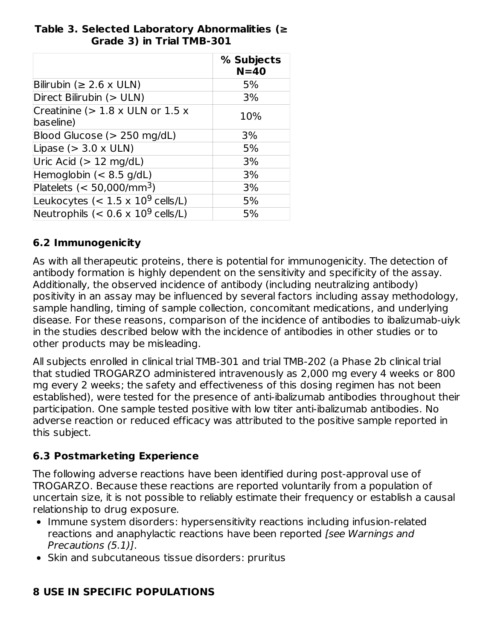### **Table 3. Selected Laboratory Abnormalities (≥ Grade 3) in Trial TMB-301**

|                                                       | % Subjects<br>$N = 40$ |
|-------------------------------------------------------|------------------------|
| Bilirubin ( $\geq 2.6 \times$ ULN)                    | 5%                     |
| Direct Bilirubin (> ULN)                              | 3%                     |
| Creatinine ( $> 1.8 \times$ ULN or 1.5 x<br>baseline) | 10%                    |
| Blood Glucose ( $> 250$ mg/dL)                        | 3%                     |
| Lipase ( $>$ 3.0 x ULN)                               | 5%                     |
| Uric Acid ( $> 12$ mg/dL)                             | 3%                     |
| Hemoglobin $(< 8.5$ g/dL)                             | 3%                     |
| Platelets $(< 50,000/\text{mm}^3)$                    | 3%                     |
| Leukocytes (< $1.5 \times 10^9$ cells/L)              | 5%                     |
| Neutrophils (< $0.6 \times 10^9$ cells/L)             | 5%                     |

## **6.2 Immunogenicity**

As with all therapeutic proteins, there is potential for immunogenicity. The detection of antibody formation is highly dependent on the sensitivity and specificity of the assay. Additionally, the observed incidence of antibody (including neutralizing antibody) positivity in an assay may be influenced by several factors including assay methodology, sample handling, timing of sample collection, concomitant medications, and underlying disease. For these reasons, comparison of the incidence of antibodies to ibalizumab-uiyk in the studies described below with the incidence of antibodies in other studies or to other products may be misleading.

All subjects enrolled in clinical trial TMB-301 and trial TMB-202 (a Phase 2b clinical trial that studied TROGARZO administered intravenously as 2,000 mg every 4 weeks or 800 mg every 2 weeks; the safety and effectiveness of this dosing regimen has not been established), were tested for the presence of anti-ibalizumab antibodies throughout their participation. One sample tested positive with low titer anti-ibalizumab antibodies. No adverse reaction or reduced efficacy was attributed to the positive sample reported in this subject.

## **6.3 Postmarketing Experience**

The following adverse reactions have been identified during post‐approval use of TROGARZO. Because these reactions are reported voluntarily from a population of uncertain size, it is not possible to reliably estimate their frequency or establish a causal relationship to drug exposure.

- Immune system disorders: hypersensitivity reactions including infusion-related reactions and anaphylactic reactions have been reported (see Warnings and Precautions (5.1)].
- Skin and subcutaneous tissue disorders: pruritus

# **8 USE IN SPECIFIC POPULATIONS**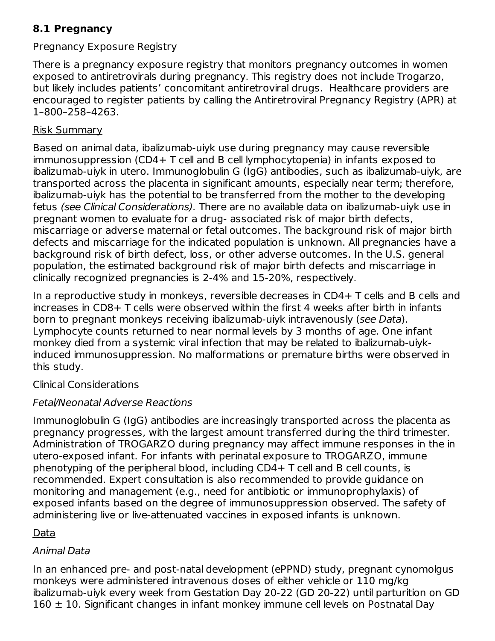## **8.1 Pregnancy**

### Pregnancy Exposure Registry

There is a pregnancy exposure registry that monitors pregnancy outcomes in women exposed to antiretrovirals during pregnancy. This registry does not include Trogarzo, but likely includes patients' concomitant antiretroviral drugs. Healthcare providers are encouraged to register patients by calling the Antiretroviral Pregnancy Registry (APR) at 1–800–258–4263.

### Risk Summary

Based on animal data, ibalizumab-uiyk use during pregnancy may cause reversible immunosuppression (CD4+ T cell and B cell lymphocytopenia) in infants exposed to ibalizumab-uiyk in utero. Immunoglobulin G (IgG) antibodies, such as ibalizumab-uiyk, are transported across the placenta in significant amounts, especially near term; therefore, ibalizumab-uiyk has the potential to be transferred from the mother to the developing fetus (see Clinical Considerations). There are no available data on ibalizumab-uiyk use in pregnant women to evaluate for a drug- associated risk of major birth defects, miscarriage or adverse maternal or fetal outcomes. The background risk of major birth defects and miscarriage for the indicated population is unknown. All pregnancies have a background risk of birth defect, loss, or other adverse outcomes. In the U.S. general population, the estimated background risk of major birth defects and miscarriage in clinically recognized pregnancies is 2-4% and 15-20%, respectively.

In a reproductive study in monkeys, reversible decreases in CD4+ T cells and B cells and increases in CD8+ T cells were observed within the first 4 weeks after birth in infants born to pregnant monkeys receiving ibalizumab-uiyk intravenously (see Data). Lymphocyte counts returned to near normal levels by 3 months of age. One infant monkey died from a systemic viral infection that may be related to ibalizumab-uiykinduced immunosuppression. No malformations or premature births were observed in this study.

### Clinical Considerations

## Fetal/Neonatal Adverse Reactions

Immunoglobulin G (IgG) antibodies are increasingly transported across the placenta as pregnancy progresses, with the largest amount transferred during the third trimester. Administration of TROGARZO during pregnancy may affect immune responses in the in utero-exposed infant. For infants with perinatal exposure to TROGARZO, immune phenotyping of the peripheral blood, including CD4+ T cell and B cell counts, is recommended. Expert consultation is also recommended to provide guidance on monitoring and management (e.g., need for antibiotic or immunoprophylaxis) of exposed infants based on the degree of immunosuppression observed. The safety of administering live or live-attenuated vaccines in exposed infants is unknown.

### Data

## Animal Data

In an enhanced pre- and post-natal development (ePPND) study, pregnant cynomolgus monkeys were administered intravenous doses of either vehicle or 110 mg/kg ibalizumab-uiyk every week from Gestation Day 20-22 (GD 20-22) until parturition on GD  $160 \pm 10$ . Significant changes in infant monkey immune cell levels on Postnatal Day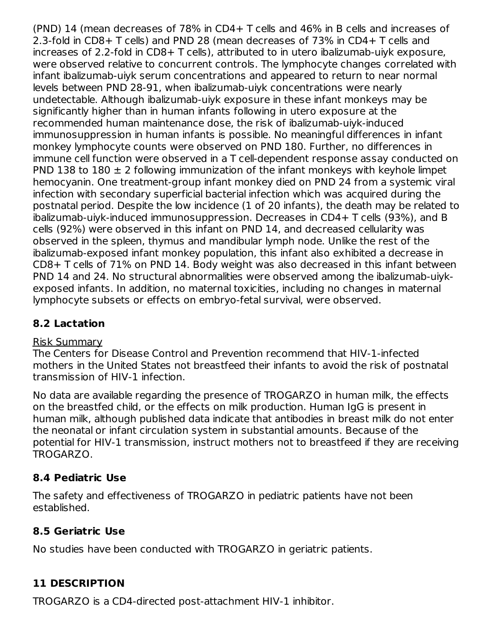(PND) 14 (mean decreases of 78% in CD4+ T cells and 46% in B cells and increases of 2.3-fold in CD8+ T cells) and PND 28 (mean decreases of 73% in CD4+ T cells and increases of 2.2-fold in CD8+ T cells), attributed to in utero ibalizumab-uiyk exposure, were observed relative to concurrent controls. The lymphocyte changes correlated with infant ibalizumab-uiyk serum concentrations and appeared to return to near normal levels between PND 28-91, when ibalizumab-uiyk concentrations were nearly undetectable. Although ibalizumab-uiyk exposure in these infant monkeys may be significantly higher than in human infants following in utero exposure at the recommended human maintenance dose, the risk of ibalizumab-uiyk-induced immunosuppression in human infants is possible. No meaningful differences in infant monkey lymphocyte counts were observed on PND 180. Further, no differences in immune cell function were observed in a T cell-dependent response assay conducted on PND 138 to 180  $\pm$  2 following immunization of the infant monkeys with keyhole limpet hemocyanin. One treatment-group infant monkey died on PND 24 from a systemic viral infection with secondary superficial bacterial infection which was acquired during the postnatal period. Despite the low incidence (1 of 20 infants), the death may be related to ibalizumab-uiyk-induced immunosuppression. Decreases in CD4+ T cells (93%), and B cells (92%) were observed in this infant on PND 14, and decreased cellularity was observed in the spleen, thymus and mandibular lymph node. Unlike the rest of the ibalizumab-exposed infant monkey population, this infant also exhibited a decrease in CD8+ T cells of 71% on PND 14. Body weight was also decreased in this infant between PND 14 and 24. No structural abnormalities were observed among the ibalizumab-uiykexposed infants. In addition, no maternal toxicities, including no changes in maternal lymphocyte subsets or effects on embryo-fetal survival, were observed.

## **8.2 Lactation**

### Risk Summary

The Centers for Disease Control and Prevention recommend that HIV-1-infected mothers in the United States not breastfeed their infants to avoid the risk of postnatal transmission of HIV-1 infection.

No data are available regarding the presence of TROGARZO in human milk, the effects on the breastfed child, or the effects on milk production. Human IgG is present in human milk, although published data indicate that antibodies in breast milk do not enter the neonatal or infant circulation system in substantial amounts. Because of the potential for HIV-1 transmission, instruct mothers not to breastfeed if they are receiving TROGARZO.

## **8.4 Pediatric Use**

The safety and effectiveness of TROGARZO in pediatric patients have not been established.

## **8.5 Geriatric Use**

No studies have been conducted with TROGARZO in geriatric patients.

## **11 DESCRIPTION**

TROGARZO is a CD4-directed post-attachment HIV-1 inhibitor.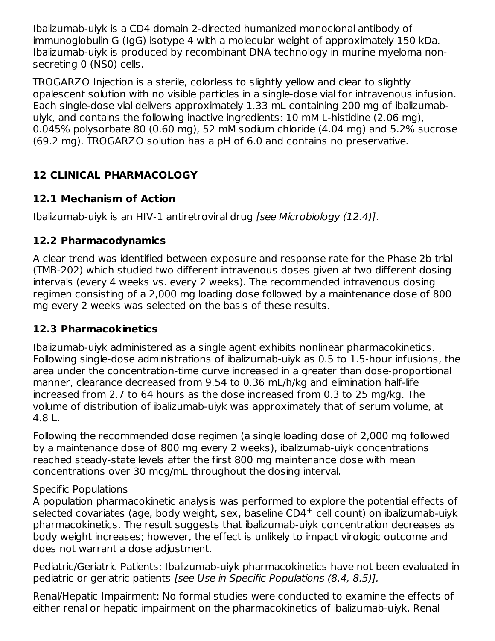Ibalizumab-uiyk is a CD4 domain 2-directed humanized monoclonal antibody of immunoglobulin G (IgG) isotype 4 with a molecular weight of approximately 150 kDa. Ibalizumab-uiyk is produced by recombinant DNA technology in murine myeloma nonsecreting 0 (NS0) cells.

TROGARZO Injection is a sterile, colorless to slightly yellow and clear to slightly opalescent solution with no visible particles in a single-dose vial for intravenous infusion. Each single-dose vial delivers approximately 1.33 mL containing 200 mg of ibalizumabuiyk, and contains the following inactive ingredients: 10 mM L-histidine (2.06 mg), 0.045% polysorbate 80 (0.60 mg), 52 mM sodium chloride (4.04 mg) and 5.2% sucrose (69.2 mg). TROGARZO solution has a pH of 6.0 and contains no preservative.

## **12 CLINICAL PHARMACOLOGY**

## **12.1 Mechanism of Action**

Ibalizumab-uiyk is an HIV-1 antiretroviral drug [see Microbiology (12.4)].

## **12.2 Pharmacodynamics**

A clear trend was identified between exposure and response rate for the Phase 2b trial (TMB-202) which studied two different intravenous doses given at two different dosing intervals (every 4 weeks vs. every 2 weeks). The recommended intravenous dosing regimen consisting of a 2,000 mg loading dose followed by a maintenance dose of 800 mg every 2 weeks was selected on the basis of these results.

## **12.3 Pharmacokinetics**

Ibalizumab-uiyk administered as a single agent exhibits nonlinear pharmacokinetics. Following single-dose administrations of ibalizumab-uiyk as 0.5 to 1.5-hour infusions, the area under the concentration-time curve increased in a greater than dose-proportional manner, clearance decreased from 9.54 to 0.36 mL/h/kg and elimination half-life increased from 2.7 to 64 hours as the dose increased from 0.3 to 25 mg/kg. The volume of distribution of ibalizumab-uiyk was approximately that of serum volume, at 4.8 L.

Following the recommended dose regimen (a single loading dose of 2,000 mg followed by a maintenance dose of 800 mg every 2 weeks), ibalizumab-uiyk concentrations reached steady-state levels after the first 800 mg maintenance dose with mean concentrations over 30 mcg/mL throughout the dosing interval.

## Specific Populations

A population pharmacokinetic analysis was performed to explore the potential effects of selected covariates (age, body weight, sex, baseline CD4<sup>+</sup> cell count) on ibalizumab-uiyk pharmacokinetics. The result suggests that ibalizumab-uiyk concentration decreases as body weight increases; however, the effect is unlikely to impact virologic outcome and does not warrant a dose adjustment.

Pediatric/Geriatric Patients: Ibalizumab-uiyk pharmacokinetics have not been evaluated in pediatric or geriatric patients [see Use in Specific Populations (8.4, 8.5)].

Renal/Hepatic Impairment: No formal studies were conducted to examine the effects of either renal or hepatic impairment on the pharmacokinetics of ibalizumab-uiyk. Renal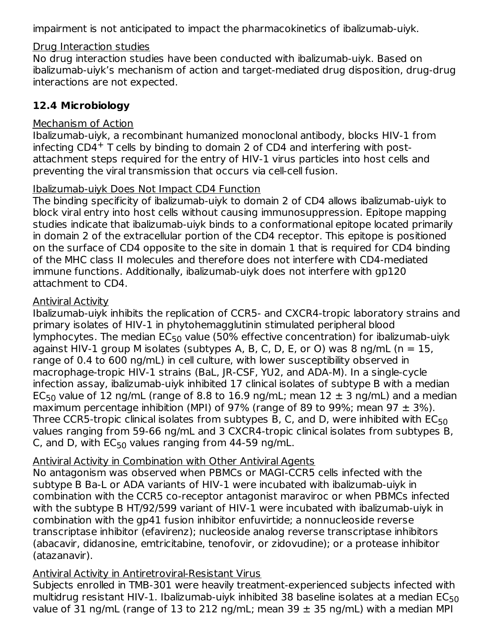impairment is not anticipated to impact the pharmacokinetics of ibalizumab-uiyk.

### Drug Interaction studies

No drug interaction studies have been conducted with ibalizumab-uiyk. Based on ibalizumab-uiyk's mechanism of action and target-mediated drug disposition, drug-drug interactions are not expected.

## **12.4 Microbiology**

## Mechanism of Action

Ibalizumab-uiyk, a recombinant humanized monoclonal antibody, blocks HIV-1 from infecting  $CD4<sup>+</sup>$  T cells by binding to domain 2 of CD4 and interfering with postattachment steps required for the entry of HIV-1 virus particles into host cells and preventing the viral transmission that occurs via cell-cell fusion.

### Ibalizumab-uiyk Does Not Impact CD4 Function

The binding specificity of ibalizumab-uiyk to domain 2 of CD4 allows ibalizumab-uiyk to block viral entry into host cells without causing immunosuppression. Epitope mapping studies indicate that ibalizumab-uiyk binds to a conformational epitope located primarily in domain 2 of the extracellular portion of the CD4 receptor. This epitope is positioned on the surface of CD4 opposite to the site in domain 1 that is required for CD4 binding of the MHC class II molecules and therefore does not interfere with CD4-mediated immune functions. Additionally, ibalizumab-uiyk does not interfere with gp120 attachment to CD4.

### Antiviral Activity

Ibalizumab-uiyk inhibits the replication of CCR5- and CXCR4-tropic laboratory strains and primary isolates of HIV-1 in phytohemagglutinin stimulated peripheral blood lymphocytes. The median EC $_{50}$  value (50% effective concentration) for ibalizumab-uiyk against HIV-1 group M isolates (subtypes A, B, C, D, E, or O) was 8 ng/mL ( $n = 15$ , range of 0.4 to 600 ng/mL) in cell culture, with lower susceptibility observed in macrophage-tropic HIV-1 strains (BaL, JR-CSF, YU2, and ADA-M). In a single-cycle infection assay, ibalizumab-uiyk inhibited 17 clinical isolates of subtype B with a median EC<sub>50</sub> value of 12 ng/mL (range of 8.8 to 16.9 ng/mL; mean  $12 \pm 3$  ng/mL) and a median maximum percentage inhibition (MPI) of 97% (range of 89 to 99%; mean 97  $\pm$  3%). Three CCR5-tropic clinical isolates from subtypes B, C, and D, were inhibited with  $\mathsf{EC}_{50}$ values ranging from 59-66 ng/mL and 3 CXCR4-tropic clinical isolates from subtypes B, C, and D, with  $EC_{50}$  values ranging from 44-59 ng/mL.

## Antiviral Activity in Combination with Other Antiviral Agents

No antagonism was observed when PBMCs or MAGI-CCR5 cells infected with the subtype B Ba-L or ADA variants of HIV-1 were incubated with ibalizumab-uiyk in combination with the CCR5 co-receptor antagonist maraviroc or when PBMCs infected with the subtype B HT/92/599 variant of HIV-1 were incubated with ibalizumab-uiyk in combination with the gp41 fusion inhibitor enfuvirtide; a nonnucleoside reverse transcriptase inhibitor (efavirenz); nucleoside analog reverse transcriptase inhibitors (abacavir, didanosine, emtricitabine, tenofovir, or zidovudine); or a protease inhibitor (atazanavir).

## Antiviral Activity in Antiretroviral-Resistant Virus

Subjects enrolled in TMB-301 were heavily treatment-experienced subjects infected with multidrug resistant HIV-1. Ibalizumab-uiyk inhibited 38 baseline isolates at a median EC $_{\rm 50}$ value of 31 ng/mL (range of 13 to 212 ng/mL; mean 39  $\pm$  35 ng/mL) with a median MPI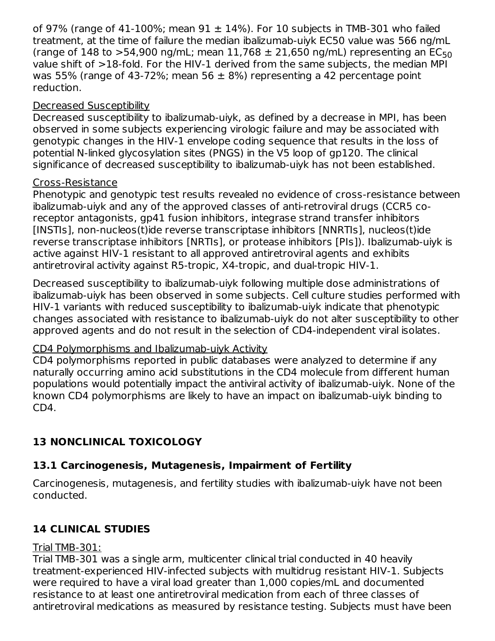of 97% (range of 41-100%; mean  $91 \pm 14$ %). For 10 subjects in TMB-301 who failed treatment, at the time of failure the median ibalizumab-uiyk EC50 value was 566 ng/mL (range of 148 to >54,900 ng/mL; mean 11,768  $\pm$  21,650 ng/mL) representing an EC<sub>50</sub> value shift of >18-fold. For the HIV-1 derived from the same subjects, the median MPI was 55% (range of 43-72%; mean 56  $\pm$  8%) representing a 42 percentage point reduction.

### Decreased Susceptibility

Decreased susceptibility to ibalizumab-uiyk, as defined by a decrease in MPI, has been observed in some subjects experiencing virologic failure and may be associated with genotypic changes in the HIV-1 envelope coding sequence that results in the loss of potential N-linked glycosylation sites (PNGS) in the V5 loop of gp120. The clinical significance of decreased susceptibility to ibalizumab-uiyk has not been established.

### Cross-Resistance

Phenotypic and genotypic test results revealed no evidence of cross-resistance between ibalizumab-uiyk and any of the approved classes of anti-retroviral drugs (CCR5 coreceptor antagonists, gp41 fusion inhibitors, integrase strand transfer inhibitors [INSTIs], non-nucleos(t)ide reverse transcriptase inhibitors [NNRTIs], nucleos(t)ide reverse transcriptase inhibitors [NRTIs], or protease inhibitors [PIs]). Ibalizumab-uiyk is active against HIV-1 resistant to all approved antiretroviral agents and exhibits antiretroviral activity against R5-tropic, X4-tropic, and dual-tropic HIV-1.

Decreased susceptibility to ibalizumab-uiyk following multiple dose administrations of ibalizumab-uiyk has been observed in some subjects. Cell culture studies performed with HIV-1 variants with reduced susceptibility to ibalizumab-uiyk indicate that phenotypic changes associated with resistance to ibalizumab-uiyk do not alter susceptibility to other approved agents and do not result in the selection of CD4-independent viral isolates.

## CD4 Polymorphisms and Ibalizumab-uiyk Activity

CD4 polymorphisms reported in public databases were analyzed to determine if any naturally occurring amino acid substitutions in the CD4 molecule from different human populations would potentially impact the antiviral activity of ibalizumab-uiyk. None of the known CD4 polymorphisms are likely to have an impact on ibalizumab-uiyk binding to CD4.

## **13 NONCLINICAL TOXICOLOGY**

# **13.1 Carcinogenesis, Mutagenesis, Impairment of Fertility**

Carcinogenesis, mutagenesis, and fertility studies with ibalizumab-uiyk have not been conducted.

# **14 CLINICAL STUDIES**

## Trial TMB-301:

Trial TMB-301 was a single arm, multicenter clinical trial conducted in 40 heavily treatment-experienced HIV-infected subjects with multidrug resistant HIV-1. Subjects were required to have a viral load greater than 1,000 copies/mL and documented resistance to at least one antiretroviral medication from each of three classes of antiretroviral medications as measured by resistance testing. Subjects must have been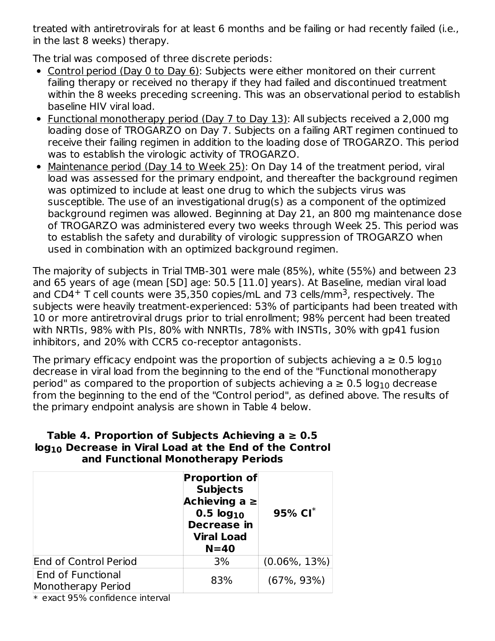treated with antiretrovirals for at least 6 months and be failing or had recently failed (i.e., in the last 8 weeks) therapy.

The trial was composed of three discrete periods:

- Control period (Day 0 to Day 6): Subjects were either monitored on their current failing therapy or received no therapy if they had failed and discontinued treatment within the 8 weeks preceding screening. This was an observational period to establish baseline HIV viral load.
- Functional monotherapy period (Day 7 to Day 13): All subjects received a 2,000 mg loading dose of TROGARZO on Day 7. Subjects on a failing ART regimen continued to receive their failing regimen in addition to the loading dose of TROGARZO. This period was to establish the virologic activity of TROGARZO.
- Maintenance period (Day 14 to Week 25): On Day 14 of the treatment period, viral load was assessed for the primary endpoint, and thereafter the background regimen was optimized to include at least one drug to which the subjects virus was susceptible. The use of an investigational drug(s) as a component of the optimized background regimen was allowed. Beginning at Day 21, an 800 mg maintenance dose of TROGARZO was administered every two weeks through Week 25. This period was to establish the safety and durability of virologic suppression of TROGARZO when used in combination with an optimized background regimen.

The majority of subjects in Trial TMB-301 were male (85%), white (55%) and between 23 and 65 years of age (mean [SD] age: 50.5 [11.0] years). At Baseline, median viral load and CD4<sup>+</sup> T cell counts were 35,350 copies/mL and 73 cells/mm<sup>3</sup>, respectively. The subjects were heavily treatment-experienced: 53% of participants had been treated with 10 or more antiretroviral drugs prior to trial enrollment; 98% percent had been treated with NRTIs, 98% with PIs, 80% with NNRTIs, 78% with INSTIs, 30% with gp41 fusion inhibitors, and 20% with CCR5 co-receptor antagonists.

The primary efficacy endpoint was the proportion of subjects achieving a  $\geq 0.5$  log $_{10}$ decrease in viral load from the beginning to the end of the "Functional monotherapy period" as compared to the proportion of subjects achieving a  $\geq 0.5$  log $_{10}$  decrease from the beginning to the end of the "Control period", as defined above. The results of the primary endpoint analysis are shown in Table 4 below.

### **Table 4. Proportion of Subjects Achieving a ≥ 0.5 log Decrease in Viral Load at the End of the Control 10 and Functional Monotherapy Periods**

|                                                | <b>Proportion of</b><br><b>Subjects</b><br>Achieving $a \ge$<br>0.5 log <sub>10</sub><br><b>Decrease in</b><br><b>Viral Load</b><br>$N = 40$ | 95% $CI^*$       |
|------------------------------------------------|----------------------------------------------------------------------------------------------------------------------------------------------|------------------|
| <b>End of Control Period</b>                   | 3%                                                                                                                                           | $(0.06\%, 13\%)$ |
| <b>End of Functional</b><br>Monotherapy Period | 83%                                                                                                                                          | $(67\%, 93\%)$   |

\* exact 95% confidence interval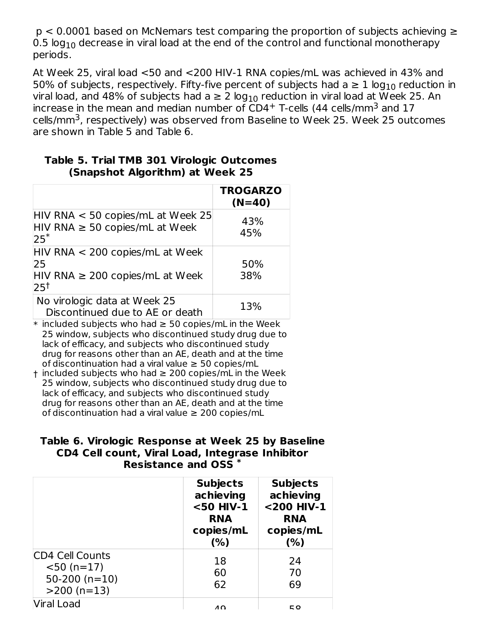p < 0.0001 based on McNemars test comparing the proportion of subjects achieving ≥ 0.5  $\log_{10}$  decrease in viral load at the end of the control and functional monotherapy periods.

At Week 25, viral load <50 and <200 HIV-1 RNA copies/mL was achieved in 43% and 50% of subjects, respectively. Fifty-five percent of subjects had a  $\geq 1$  log $_{10}$  reduction in viral load, and 48% of subjects had a  $\geq 2$  log $_{10}$  reduction in viral load at Week 25. An increase in the mean and median number of CD4<sup>+</sup> T-cells (44 cells/mm<sup>3</sup> and 17 cells/mm<sup>3</sup>, respectively) was observed from Baseline to Week 25. Week 25 outcomes are shown in Table 5 and Table 6.

|                                                                                                   | <b>TROGARZO</b><br>$(N=40)$ |
|---------------------------------------------------------------------------------------------------|-----------------------------|
| $HIV$ RNA $<$ 50 copies/mL at Week 25<br>$HIV RNA \ge 50 copies/mL$ at Week<br>$25*$              | 43%<br>45%                  |
| $HIV RNA < 200 copies/mL$ at Week<br>25<br>$HIV RNA \ge 200 copies/mL$ at Week<br>25 <sup>†</sup> | 50%<br>38%                  |
| No virologic data at Week 25<br>Discontinued due to AE or death                                   | 13%                         |

### **Table 5. Trial TMB 301 Virologic Outcomes (Snapshot Algorithm) at Week 25**

 $*$  included subjects who had  $\geq 50$  copies/mL in the Week 25 window, subjects who discontinued study drug due to lack of efficacy, and subjects who discontinued study drug for reasons other than an AE, death and at the time of discontinuation had a viral value  $\geq$  50 copies/mL

† included subjects who had ≥ 200 copies/mL in the Week 25 window, subjects who discontinued study drug due to lack of efficacy, and subjects who discontinued study drug for reasons other than an AE, death and at the time of discontinuation had a viral value  $\geq 200$  copies/mL

### **Table 6. Virologic Response at Week 25 by Baseline CD4 Cell count, Viral Load, Integrase Inhibitor Resistance and OSS \***

|                                                                             | <b>Subjects</b><br>achieving<br><50 HIV-1<br><b>RNA</b><br>copies/mL<br>(%) | <b>Subjects</b><br>achieving<br><200 HIV-1<br>RNA<br>copies/mL<br>(%) |
|-----------------------------------------------------------------------------|-----------------------------------------------------------------------------|-----------------------------------------------------------------------|
| <b>CD4 Cell Counts</b><br>$<$ 50 (n=17)<br>$50-200$ (n=10)<br>$>200$ (n=13) | 18<br>60<br>62                                                              | 24<br>70<br>69                                                        |
| Viral Load                                                                  | 10                                                                          | E O                                                                   |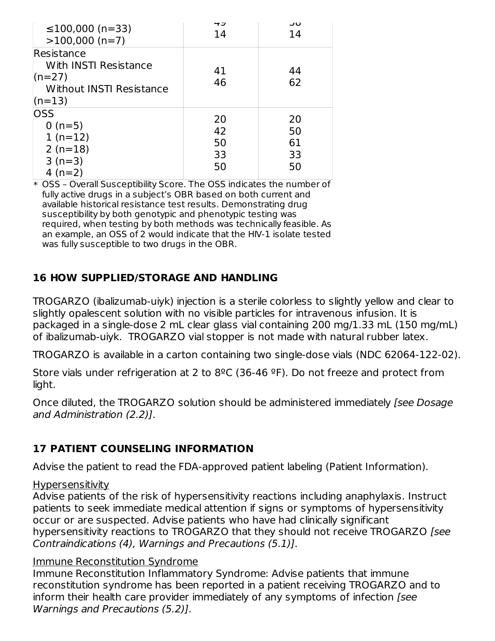| $≤100,000$ (n=33)<br>$>100,000$ (n=7)                                                   | ーコ<br>14                   | ںر<br>14                   |
|-----------------------------------------------------------------------------------------|----------------------------|----------------------------|
| Resistance<br>With INSTI Resistance<br>$(n=27)$<br>Without INSTI Resistance<br>$(n=13)$ | 41<br>46                   | 44<br>62                   |
| OSS<br>$0(n=5)$<br>$1(n=12)$<br>$2(n=18)$<br>$3(n=3)$<br>4 $(n=2)$                      | 20<br>42<br>50<br>33<br>50 | 20<br>50<br>61<br>33<br>50 |

\* OSS – Overall Susceptibility Score. The OSS indicates the number of fully active drugs in a subject's OBR based on both current and available historical resistance test results. Demonstrating drug susceptibility by both genotypic and phenotypic testing was required, when testing by both methods was technically feasible. As an example, an OSS of 2 would indicate that the HIV-1 isolate tested was fully susceptible to two drugs in the OBR.

## **16 HOW SUPPLIED/STORAGE AND HANDLING**

TROGARZO (ibalizumab-uiyk) injection is a sterile colorless to slightly yellow and clear to slightly opalescent solution with no visible particles for intravenous infusion. It is packaged in a single-dose 2 mL clear glass vial containing 200 mg/1.33 mL (150 mg/mL) of ibalizumab-uiyk. TROGARZO vial stopper is not made with natural rubber latex.

TROGARZO is available in a carton containing two single-dose vials (NDC 62064-122-02).

Store vials under refrigeration at 2 to  $8^{\circ}$ C (36-46  $^{\circ}$ F). Do not freeze and protect from light.

Once diluted, the TROGARZO solution should be administered immediately (see Dosage and Administration (2.2)].

## **17 PATIENT COUNSELING INFORMATION**

Advise the patient to read the FDA-approved patient labeling (Patient Information).

### Hypersensitivity

Advise patients of the risk of hypersensitivity reactions including anaphylaxis. Instruct patients to seek immediate medical attention if signs or symptoms of hypersensitivity occur or are suspected. Advise patients who have had clinically significant hypersensitivity reactions to TROGARZO that they should not receive TROGARZO [see Contraindications (4), Warnings and Precautions (5.1)].

### Immune Reconstitution Syndrome

Immune Reconstitution Inflammatory Syndrome: Advise patients that immune reconstitution syndrome has been reported in a patient receiving TROGARZO and to inform their health care provider immediately of any symptoms of infection [see Warnings and Precautions (5.2)].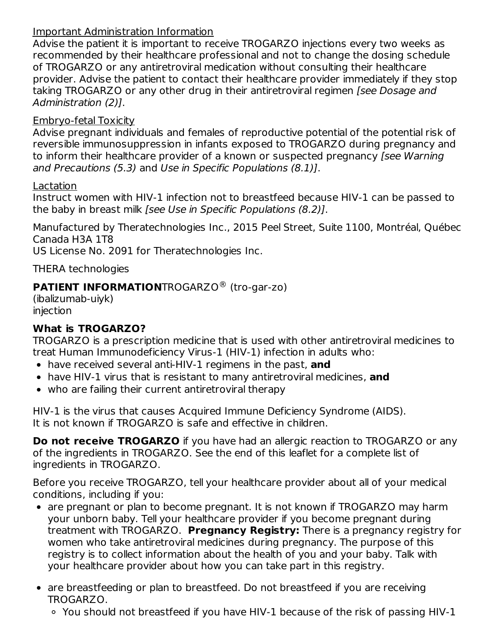### Important Administration Information

Advise the patient it is important to receive TROGARZO injections every two weeks as recommended by their healthcare professional and not to change the dosing schedule of TROGARZO or any antiretroviral medication without consulting their healthcare provider. Advise the patient to contact their healthcare provider immediately if they stop taking TROGARZO or any other drug in their antiretroviral regimen *[see Dosage and* Administration (2)].

## Embryo-fetal Toxicity

Advise pregnant individuals and females of reproductive potential of the potential risk of reversible immunosuppression in infants exposed to TROGARZO during pregnancy and to inform their healthcare provider of a known or suspected pregnancy (see Warning and Precautions (5.3) and Use in Specific Populations (8.1)].

Lactation

Instruct women with HIV-1 infection not to breastfeed because HIV-1 can be passed to the baby in breast milk [see Use in Specific Populations (8.2)].

Manufactured by Theratechnologies Inc., 2015 Peel Street, Suite 1100, Montréal, Québec Canada H3A 1T8

US License No. 2091 for Theratechnologies Inc.

THERA technologies

## **PATIENT INFORMATION**TROGARZO<sup>®</sup> (tro-gar-zo)

(ibalizumab-uiyk) injection

## **What is TROGARZO?**

TROGARZO is a prescription medicine that is used with other antiretroviral medicines to treat Human Immunodeficiency Virus-1 (HIV-1) infection in adults who:

- have received several anti-HIV-1 regimens in the past, **and**
- have HIV-1 virus that is resistant to many antiretroviral medicines, **and**
- who are failing their current antiretroviral therapy

HIV-1 is the virus that causes Acquired Immune Deficiency Syndrome (AIDS). It is not known if TROGARZO is safe and effective in children.

**Do not receive TROGARZO** if you have had an allergic reaction to TROGARZO or any of the ingredients in TROGARZO. See the end of this leaflet for a complete list of ingredients in TROGARZO.

Before you receive TROGARZO, tell your healthcare provider about all of your medical conditions, including if you:

- are pregnant or plan to become pregnant. It is not known if TROGARZO may harm your unborn baby. Tell your healthcare provider if you become pregnant during treatment with TROGARZO. **Pregnancy Registry:** There is a pregnancy registry for women who take antiretroviral medicines during pregnancy. The purpose of this registry is to collect information about the health of you and your baby. Talk with your healthcare provider about how you can take part in this registry.
- are breastfeeding or plan to breastfeed. Do not breastfeed if you are receiving TROGARZO.
	- You should not breastfeed if you have HIV-1 because of the risk of passing HIV-1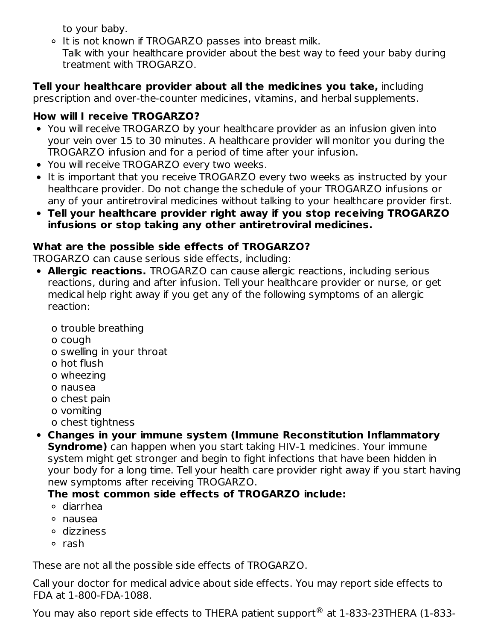to your baby.

- o It is not known if TROGARZO passes into breast milk.
- Talk with your healthcare provider about the best way to feed your baby during treatment with TROGARZO.

**Tell your healthcare provider about all the medicines you take,** including

prescription and over-the-counter medicines, vitamins, and herbal supplements.

# **How will I receive TROGARZO?**

- You will receive TROGARZO by your healthcare provider as an infusion given into your vein over 15 to 30 minutes. A healthcare provider will monitor you during the TROGARZO infusion and for a period of time after your infusion.
- You will receive TROGARZO every two weeks.
- It is important that you receive TROGARZO every two weeks as instructed by your healthcare provider. Do not change the schedule of your TROGARZO infusions or any of your antiretroviral medicines without talking to your healthcare provider first.
- **Tell your healthcare provider right away if you stop receiving TROGARZO infusions or stop taking any other antiretroviral medicines.**

# **What are the possible side effects of TROGARZO?**

TROGARZO can cause serious side effects, including:

- **Allergic reactions.** TROGARZO can cause allergic reactions, including serious reactions, during and after infusion. Tell your healthcare provider or nurse, or get medical help right away if you get any of the following symptoms of an allergic reaction:
	- o trouble breathing
	- o cough
	- o swelling in your throat
	- o hot flush
	- o wheezing
	- o nausea
	- o chest pain
	- o vomiting
	- o chest tightness
- **Changes in your immune system (Immune Reconstitution Inflammatory Syndrome)** can happen when you start taking HIV-1 medicines. Your immune system might get stronger and begin to fight infections that have been hidden in your body for a long time. Tell your health care provider right away if you start having new symptoms after receiving TROGARZO.

# **The most common side effects of TROGARZO include:**

- diarrhea
- nausea
- dizziness
- o rash

These are not all the possible side effects of TROGARZO.

Call your doctor for medical advice about side effects. You may report side effects to FDA at 1-800-FDA-1088.

You may also report side effects to THERA patient support® at 1-833-23THERA (1-833-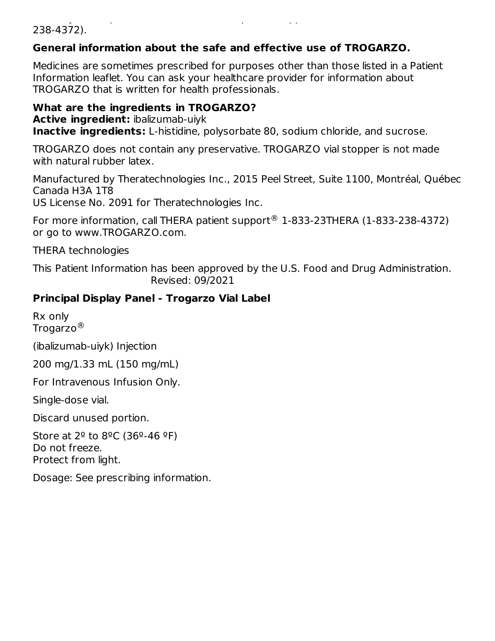#### You may also report side effects to THERA patient support at 1-833-23THERA (1-833- 238-4372).

## **General information about the safe and effective use of TROGARZO.**

Medicines are sometimes prescribed for purposes other than those listed in a Patient Information leaflet. You can ask your healthcare provider for information about TROGARZO that is written for health professionals.

**What are the ingredients in TROGARZO? Active ingredient:** ibalizumab-uiyk **Inactive ingredients:** L-histidine, polysorbate 80, sodium chloride, and sucrose.

TROGARZO does not contain any preservative. TROGARZO vial stopper is not made with natural rubber latex.

Manufactured by Theratechnologies Inc., 2015 Peel Street, Suite 1100, Montréal, Québec Canada H3A 1T8

US License No. 2091 for Theratechnologies Inc.

For more information, call THERA patient support $\textcircled{\tiny{\textcircled{\tiny 8}}}$  1-833-23THERA (1-833-238-4372) or go to www.TROGARZO.com.

THERA technologies

This Patient Information has been approved by the U.S. Food and Drug Administration. Revised: 09/2021

## **Principal Display Panel - Trogarzo Vial Label**

Rx only Trogarzo $^\circledR$ 

(ibalizumab-uiyk) Injection

200 mg/1.33 mL (150 mg/mL)

For Intravenous Infusion Only.

Single-dose vial.

Discard unused portion.

Store at  $2^{\circ}$  to  $8^{\circ}$ C (36°-46 °F) Do not freeze. Protect from light.

Dosage: See prescribing information.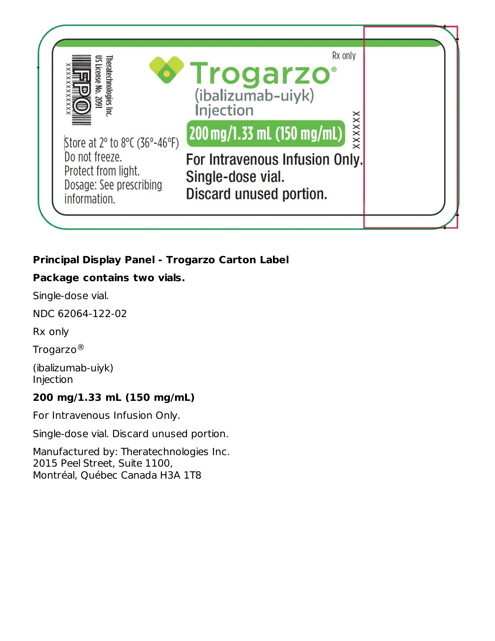

## **Principal Display Panel - Trogarzo Carton Label**

## **Package contains two vials.**

Single-dose vial.

NDC 62064-122-02

Rx only

Trogarzo $^\circledR$ 

(ibalizumab-uiyk) Injection

## **200 mg/1.33 mL (150 mg/mL)**

For Intravenous Infusion Only.

Single-dose vial. Discard unused portion.

Manufactured by: Theratechnologies Inc. 2015 Peel Street, Suite 1100, Montréal, Québec Canada H3A 1T8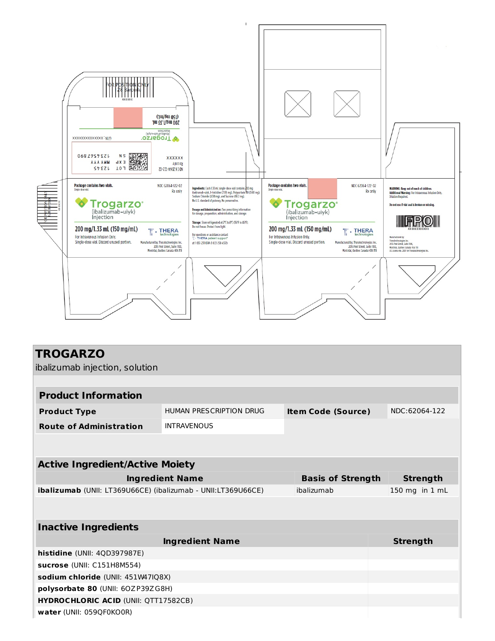

| <b>TROGARZO</b>                                                     |                         |                           |  |                 |  |
|---------------------------------------------------------------------|-------------------------|---------------------------|--|-----------------|--|
| ibalizumab injection, solution                                      |                         |                           |  |                 |  |
|                                                                     |                         |                           |  |                 |  |
| <b>Product Information</b>                                          |                         |                           |  |                 |  |
| <b>Product Type</b>                                                 | HUMAN PRESCRIPTION DRUG | <b>Item Code (Source)</b> |  | NDC:62064-122   |  |
| <b>Route of Administration</b>                                      | <b>INTRAVENOUS</b>      |                           |  |                 |  |
|                                                                     |                         |                           |  |                 |  |
| <b>Active Ingredient/Active Moiety</b>                              |                         |                           |  |                 |  |
| <b>Ingredient Name</b>                                              |                         | <b>Basis of Strength</b>  |  | <b>Strength</b> |  |
| <b>ibalizumab</b> (UNII: LT369U66CE) (ibalizumab - UNII:LT369U66CE) |                         | ibalizumab                |  | 150 mg in 1 mL  |  |
|                                                                     |                         |                           |  |                 |  |
| <b>Inactive Ingredients</b>                                         |                         |                           |  |                 |  |
|                                                                     | <b>Ingredient Name</b>  |                           |  | <b>Strength</b> |  |
| histidine (UNII: 4QD397987E)                                        |                         |                           |  |                 |  |
| sucrose (UNII: C151H8M554)                                          |                         |                           |  |                 |  |
| sodium chloride (UNII: 451W47IQ8X)                                  |                         |                           |  |                 |  |
| polysorbate 80 (UNII: 60ZP39ZG8H)                                   |                         |                           |  |                 |  |
| <b>HYDROCHLORIC ACID (UNII: QTT17582CB)</b>                         |                         |                           |  |                 |  |
| water (UNII: 059QF0KO0R)                                            |                         |                           |  |                 |  |